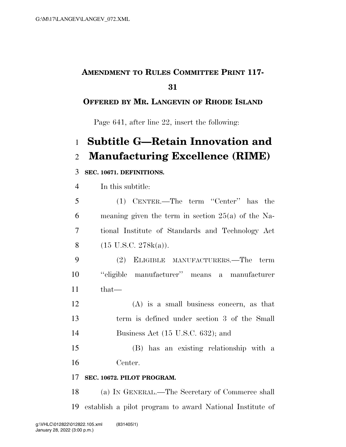## **AMENDMENT TO RULES COMMITTEE PRINT 117-**

### **OFFERED BY MR. LANGEVIN OF RHODE ISLAND**

Page 641, after line 22, insert the following:

# **Subtitle G—Retain Innovation and Manufacturing Excellence (RIME)**

#### **SEC. 10671. DEFINITIONS.**

In this subtitle:

| 5  | (1) CENTER.—The term "Center" has the                |
|----|------------------------------------------------------|
| 6  | meaning given the term in section $25(a)$ of the Na- |
| 7  | tional Institute of Standards and Technology Act     |
| 8  | $(15 \text{ U.S.C. } 278k(a)).$                      |
| 9  | (2) ELIGIBLE MANUFACTURERS.—The term                 |
| 10 | "eligible manufacturer" means a manufacturer         |
| 11 | that—                                                |
| 12 | $(A)$ is a small business concern, as that           |
| 13 | term is defined under section 3 of the Small         |
| 14 | Business Act $(15 \text{ U.S.C. } 632)$ ; and        |
| 15 | (B) has an existing relationship with a              |

Center.

#### **SEC. 10672. PILOT PROGRAM.**

 (a) IN GENERAL.—The Secretary of Commerce shall establish a pilot program to award National Institute of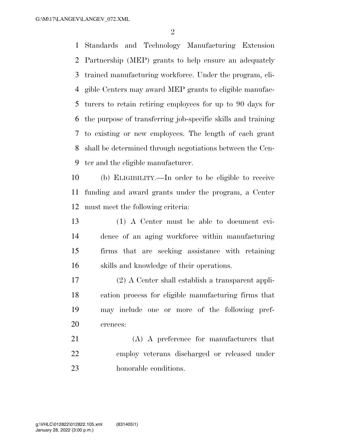$\mathfrak{D}$ 

 Standards and Technology Manufacturing Extension Partnership (MEP) grants to help ensure an adequately trained manufacturing workforce. Under the program, eli- gible Centers may award MEP grants to eligible manufac- turers to retain retiring employees for up to 90 days for the purpose of transferring job-specific skills and training to existing or new employees. The length of each grant shall be determined through negotiations between the Cen-ter and the eligible manufacturer.

 (b) ELIGIBILITY.—In order to be eligible to receive funding and award grants under the program, a Center must meet the following criteria:

 (1) A Center must be able to document evi- dence of an aging workforce within manufacturing firms that are seeking assistance with retaining skills and knowledge of their operations.

 (2) A Center shall establish a transparent appli- cation process for eligible manufacturing firms that may include one or more of the following pref-erences:

 (A) A preference for manufacturers that employ veterans discharged or released under honorable conditions.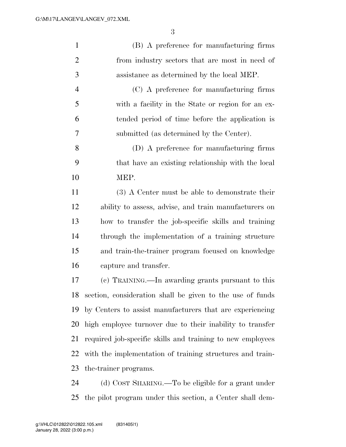| $\mathbf{1}$   | (B) A preference for manufacturing firms                   |
|----------------|------------------------------------------------------------|
| $\overline{2}$ | from industry sectors that are most in need of             |
| 3              | assistance as determined by the local MEP.                 |
| $\overline{4}$ | (C) A preference for manufacturing firms                   |
| 5              | with a facility in the State or region for an ex-          |
| 6              | tended period of time before the application is            |
| 7              | submitted (as determined by the Center).                   |
| 8              | (D) A preference for manufacturing firms                   |
| 9              | that have an existing relationship with the local          |
| 10             | MEP.                                                       |
| 11             | (3) A Center must be able to demonstrate their             |
| 12             | ability to assess, advise, and train manufacturers on      |
| 13             | how to transfer the job-specific skills and training       |
| 14             | through the implementation of a training structure         |
| 15             | and train-the-trainer program focused on knowledge         |
| 16             | capture and transfer.                                      |
| 17             | (c) TRAINING.—In awarding grants pursuant to this          |
| 18             | section, consideration shall be given to the use of funds  |
| 19             | by Centers to assist manufacturers that are experiencing   |
| 20             | high employee turnover due to their inability to transfer  |
| 21             | required job-specific skills and training to new employees |
| 22             | with the implementation of training structures and train-  |
| 23             | the-trainer programs.                                      |
| 24             | (d) COST SHARING.—To be eligible for a grant under         |
| 25             | the pilot program under this section, a Center shall dem-  |